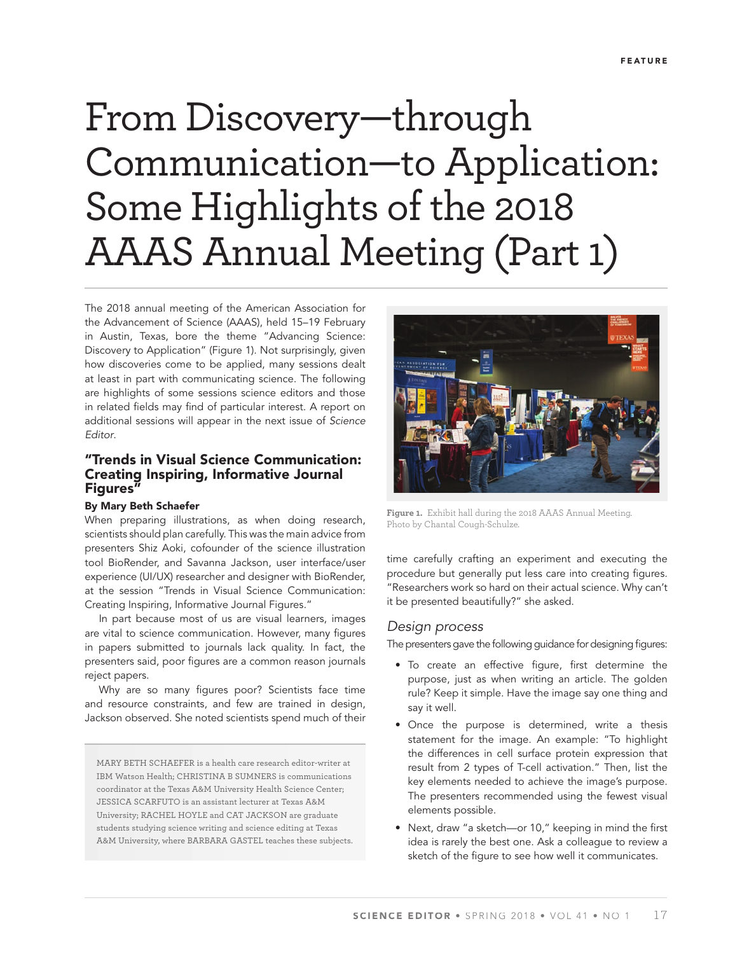# From Discovery—through Communication—to Application: Some Highlights of the 2018 AAAS Annual Meeting (Part 1)

The 2018 annual meeting of the American Association for the Advancement of Science (AAAS), held 15–19 February in Austin, Texas, bore the theme "Advancing Science: Discovery to Application" (Figure 1). Not surprisingly, given how discoveries come to be applied, many sessions dealt at least in part with communicating science. The following are highlights of some sessions science editors and those in related fields may find of particular interest. A report on additional sessions will appear in the next issue of Science Editor.

# **"Trends in Visual Science Communication: Creating Inspiring, Informative Journal Figures"**

#### **By Mary Beth Schaefer**

When preparing illustrations, as when doing research, scientists should plan carefully. This was the main advice from presenters Shiz Aoki, cofounder of the science illustration tool BioRender, and Savanna Jackson, user interface/user experience (UI/UX) researcher and designer with BioRender, at the session "Trends in Visual Science Communication: Creating Inspiring, Informative Journal Figures."

In part because most of us are visual learners, images are vital to science communication. However, many figures in papers submitted to journals lack quality. In fact, the presenters said, poor figures are a common reason journals reject papers.

Why are so many figures poor? Scientists face time and resource constraints, and few are trained in design, Jackson observed. She noted scientists spend much of their

MARY BETH SCHAEFER is a health care research editor-writer at IBM Watson Health; CHRISTINA B SUMNERS is communications coordinator at the Texas A&M University Health Science Center; JESSICA SCARFUTO is an assistant lecturer at Texas A&M University; RACHEL HOYLE and CAT JACKSON are graduate students studying science writing and science editing at Texas A&M University, where BARBARA GASTEL teaches these subjects.



**Figure 1.** Exhibit hall during the 2018 AAAS Annual Meeting. Photo by Chantal Cough-Schulze.

time carefully crafting an experiment and executing the procedure but generally put less care into creating figures. "Researchers work so hard on their actual science. Why can't it be presented beautifully?" she asked.

#### Design process

The presenters gave the following guidance for designing figures:

- To create an effective figure, first determine the purpose, just as when writing an article. The golden rule? Keep it simple. Have the image say one thing and say it well.
- Once the purpose is determined, write a thesis statement for the image. An example: "To highlight the differences in cell surface protein expression that result from 2 types of T-cell activation." Then, list the key elements needed to achieve the image's purpose. The presenters recommended using the fewest visual elements possible.
- Next, draw "a sketch-or 10," keeping in mind the first idea is rarely the best one. Ask a colleague to review a sketch of the figure to see how well it communicates.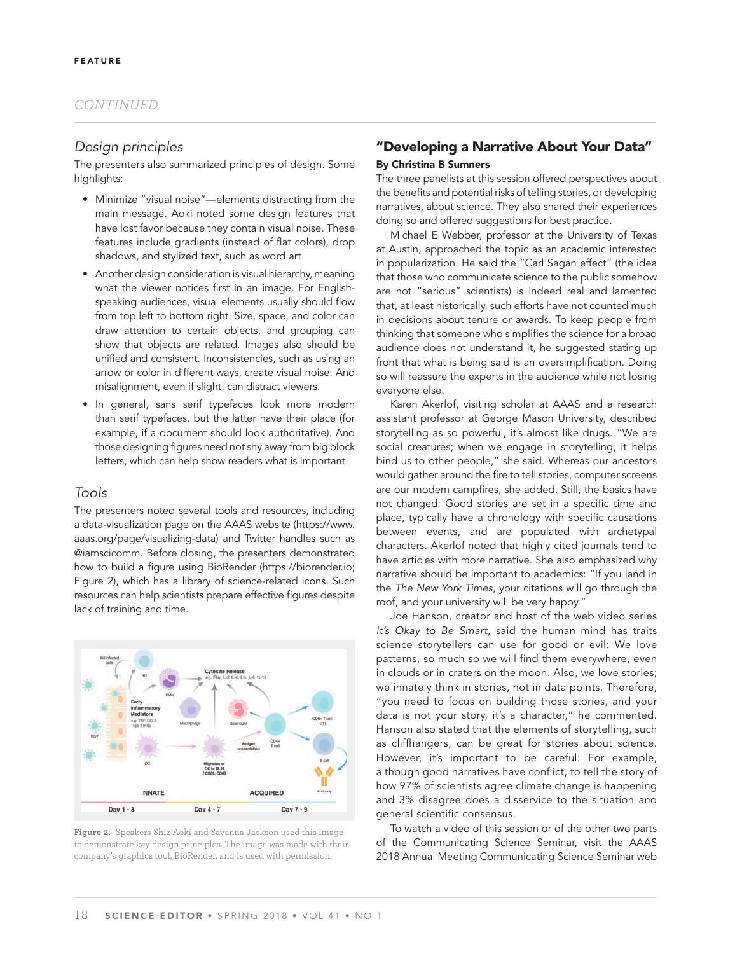# Design principles

The presenters also summarized principles of design. Some highlights:

- Minimize "visual noise"—elements distracting from the main message. Aoki noted some design features that have lost favor because they contain visual noise. These features include gradients (instead of flat colors), drop shadows, and stylized text, such as word art.
- Another design consideration is visual hierarchy, meaning what the viewer notices first in an image. For Englishspeaking audiences, visual elements usually should flow from top left to bottom right. Size, space, and color can draw attention to certain objects, and grouping can show that objects are related. Images also should be unified and consistent. Inconsistencies, such as using an arrow or color in different ways, create visual noise. And misalignment, even if slight, can distract viewers.
- In general, sans serif typefaces look more modern than serif typefaces, but the latter have their place (for example, if a document should look authoritative). And those designing figures need not shy away from big block letters, which can help show readers what is important.

## Tools

The presenters noted several tools and resources, including a data-visualization page on the AAAS website (https://www. aaas.org/page/visualizing-data) and Twitter handles such as @iamscicomm. Before closing, the presenters demonstrated how to build a figure using BioRender (https://biorender.io; Figure 2), which has a library of science-related icons. Such resources can help scientists prepare effective figures despite lack of training and time.



**Figure 2.** Speakers Shiz Aoki and Savanna Jackson used this image to demonstrate key design principles. The image was made with their company's graphics tool, BioRender, and is used with permission.

# **"Developing a Narrative About Your Data" By Christina B Sumners**

The three panelists at this session offered perspectives about the benefits and potential risks of telling stories, or developing narratives, about science. They also shared their experiences doing so and offered suggestions for best practice.

Michael E Webber, professor at the University of Texas at Austin, approached the topic as an academic interested in popularization. He said the "Carl Sagan effect" (the idea that those who communicate science to the public somehow are not "serious" scientists) is indeed real and lamented that, at least historically, such efforts have not counted much in decisions about tenure or awards. To keep people from thinking that someone who simplifies the science for a broad audience does not understand it, he suggested stating up front that what is being said is an oversimplification. Doing so will reassure the experts in the audience while not losing everyone else.

Karen Akerlof, visiting scholar at AAAS and a research assistant professor at George Mason University, described storytelling as so powerful, it's almost like drugs. "We are social creatures; when we engage in storytelling, it helps bind us to other people," she said. Whereas our ancestors would gather around the fire to tell stories, computer screens are our modem campfires, she added. Still, the basics have not changed: Good stories are set in a specific time and place, typically have a chronology with specific causations between events, and are populated with archetypal characters. Akerlof noted that highly cited journals tend to have articles with more narrative. She also emphasized why narrative should be important to academics: "If you land in the The New York Times, your citations will go through the roof, and your university will be very happy."

Joe Hanson, creator and host of the web video series It's Okay to Be Smart, said the human mind has traits science storytellers can use for good or evil: We love patterns, so much so we will find them everywhere, even in clouds or in craters on the moon. Also, we love stories; we innately think in stories, not in data points. Therefore, "you need to focus on building those stories, and your data is not your story, it's a character," he commented. Hanson also stated that the elements of storytelling, such as cliffhangers, can be great for stories about science. However, it's important to be careful: For example, although good narratives have conflict, to tell the story of how 97% of scientists agree climate change is happening and 3% disagree does a disservice to the situation and general scientific consensus.

To watch a video of this session or of the other two parts of the Communicating Science Seminar, visit the AAAS 2018 Annual Meeting Communicating Science Seminar web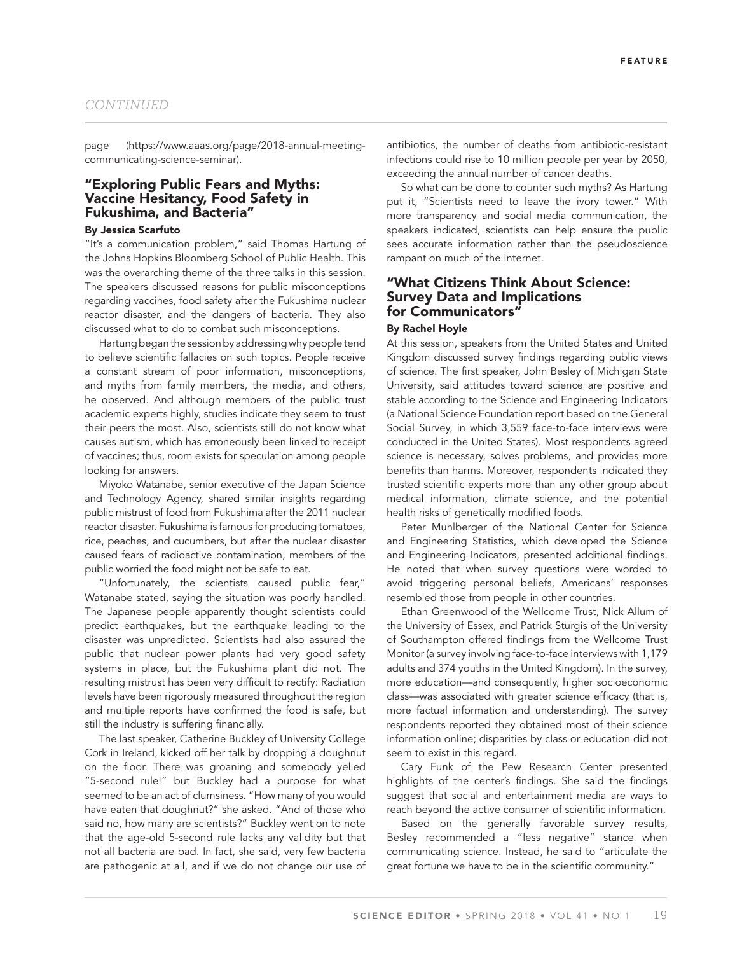page (https://www.aaas.org/page/2018-annual-meetingcommunicating-science-seminar).

#### **"Exploring Public Fears and Myths: Vaccine Hesitancy, Food Safety in Fukushima, and Bacteria"**

#### **By Jessica Scarfuto**

"It's a communication problem," said Thomas Hartung of the Johns Hopkins Bloomberg School of Public Health. This was the overarching theme of the three talks in this session. The speakers discussed reasons for public misconceptions regarding vaccines, food safety after the Fukushima nuclear reactor disaster, and the dangers of bacteria. They also discussed what to do to combat such misconceptions.

Hartung began the session by addressing why people tend to believe scientific fallacies on such topics. People receive a constant stream of poor information, misconceptions, and myths from family members, the media, and others, he observed. And although members of the public trust academic experts highly, studies indicate they seem to trust their peers the most. Also, scientists still do not know what causes autism, which has erroneously been linked to receipt of vaccines; thus, room exists for speculation among people looking for answers.

Miyoko Watanabe, senior executive of the Japan Science and Technology Agency, shared similar insights regarding public mistrust of food from Fukushima after the 2011 nuclear reactor disaster. Fukushima is famous for producing tomatoes, rice, peaches, and cucumbers, but after the nuclear disaster caused fears of radioactive contamination, members of the public worried the food might not be safe to eat.

"Unfortunately, the scientists caused public fear," Watanabe stated, saying the situation was poorly handled. The Japanese people apparently thought scientists could predict earthquakes, but the earthquake leading to the disaster was unpredicted. Scientists had also assured the public that nuclear power plants had very good safety systems in place, but the Fukushima plant did not. The resulting mistrust has been very difficult to rectify: Radiation levels have been rigorously measured throughout the region and multiple reports have confirmed the food is safe, but still the industry is suffering financially.

The last speaker, Catherine Buckley of University College Cork in Ireland, kicked off her talk by dropping a doughnut on the floor. There was groaning and somebody yelled "5-second rule!" but Buckley had a purpose for what seemed to be an act of clumsiness. "How many of you would have eaten that doughnut?" she asked. "And of those who said no, how many are scientists?" Buckley went on to note that the age-old 5-second rule lacks any validity but that not all bacteria are bad. In fact, she said, very few bacteria are pathogenic at all, and if we do not change our use of antibiotics, the number of deaths from antibiotic-resistant infections could rise to 10 million people per year by 2050, exceeding the annual number of cancer deaths.

So what can be done to counter such myths? As Hartung put it, "Scientists need to leave the ivory tower." With more transparency and social media communication, the speakers indicated, scientists can help ensure the public sees accurate information rather than the pseudoscience rampant on much of the Internet.

#### **"What Citizens Think About Science: Survey Data and Implications for Communicators"**

#### **By Rachel Hoyle**

At this session, speakers from the United States and United Kingdom discussed survey findings regarding public views of science. The first speaker, John Besley of Michigan State University, said attitudes toward science are positive and stable according to the Science and Engineering Indicators (a National Science Foundation report based on the General Social Survey, in which 3,559 face-to-face interviews were conducted in the United States). Most respondents agreed science is necessary, solves problems, and provides more benefits than harms. Moreover, respondents indicated they trusted scientific experts more than any other group about medical information, climate science, and the potential health risks of genetically modified foods.

Peter Muhlberger of the National Center for Science and Engineering Statistics, which developed the Science and Engineering Indicators, presented additional findings. He noted that when survey questions were worded to avoid triggering personal beliefs, Americans' responses resembled those from people in other countries.

Ethan Greenwood of the Wellcome Trust, Nick Allum of the University of Essex, and Patrick Sturgis of the University of Southampton offered findings from the Wellcome Trust Monitor (a survey involving face-to-face interviews with 1,179 adults and 374 youths in the United Kingdom). In the survey, more education—and consequently, higher socioeconomic class—was associated with greater science efficacy (that is, more factual information and understanding). The survey respondents reported they obtained most of their science information online; disparities by class or education did not seem to exist in this regard.

Cary Funk of the Pew Research Center presented highlights of the center's findings. She said the findings suggest that social and entertainment media are ways to reach beyond the active consumer of scientific information.

Based on the generally favorable survey results, Besley recommended a "less negative" stance when communicating science. Instead, he said to "articulate the great fortune we have to be in the scientific community."